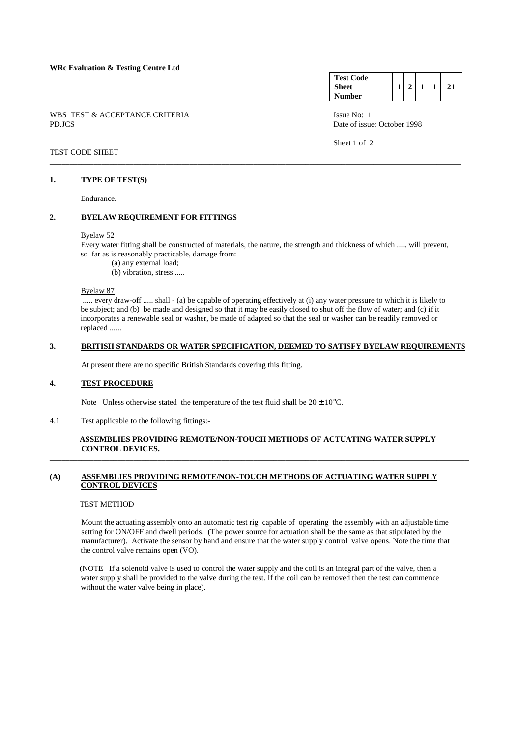WBS TEST & ACCEPTANCE CRITERIA ISSUE No: 1 PD.JCS Date of issue: October 1998

#### **Test Code Sheet Number 1 2 1 1 21**

Sheet 1 of 2

### TEST CODE SHEET

### **1. TYPE OF TEST(S)**

Endurance.

## **2. BYELAW REQUIREMENT FOR FITTINGS**

#### Byelaw 52

 Every water fitting shall be constructed of materials, the nature, the strength and thickness of which ..... will prevent, so far as is reasonably practicable, damage from:

\_\_\_\_\_\_\_\_\_\_\_\_\_\_\_\_\_\_\_\_\_\_\_\_\_\_\_\_\_\_\_\_\_\_\_\_\_\_\_\_\_\_\_\_\_\_\_\_\_\_\_\_\_\_\_\_\_\_\_\_\_\_\_\_\_\_\_\_\_\_\_\_\_\_\_\_\_\_\_\_\_\_\_\_\_\_\_\_\_\_\_\_\_\_\_\_\_\_\_\_\_\_\_

- (a) any external load;
- (b) vibration, stress .....

Byelaw 87

 ..... every draw-off ..... shall - (a) be capable of operating effectively at (i) any water pressure to which it is likely to be subject; and (b) be made and designed so that it may be easily closed to shut off the flow of water; and (c) if it incorporates a renewable seal or washer, be made of adapted so that the seal or washer can be readily removed or replaced ......

#### **3. BRITISH STANDARDS OR WATER SPECIFICATION, DEEMED TO SATISFY BYELAW REQUIREMENTS**

At present there are no specific British Standards covering this fitting.

#### **4. TEST PROCEDURE**

Note Unless otherwise stated the temperature of the test fluid shall be  $20 \pm 10^{\circ}$ C.

4.1 Test applicable to the following fittings:-

### **ASSEMBLIES PROVIDING REMOTE/NON-TOUCH METHODS OF ACTUATING WATER SUPPLY CONTROL DEVICES.**  \_\_\_\_\_\_\_\_\_\_\_\_\_\_\_\_\_\_\_\_\_\_\_\_\_\_\_\_\_\_\_\_\_\_\_\_\_\_\_\_\_\_\_\_\_\_\_\_\_\_\_\_\_\_\_\_\_\_\_\_\_\_\_\_\_\_\_\_\_\_\_\_\_\_\_\_\_\_\_\_\_\_\_\_\_\_\_\_\_\_\_\_\_\_\_\_\_\_\_\_\_\_\_\_\_

## **(A) ASSEMBLIES PROVIDING REMOTE/NON-TOUCH METHODS OF ACTUATING WATER SUPPLY CONTROL DEVICES**

### TEST METHOD

 Mount the actuating assembly onto an automatic test rig capable of operating the assembly with an adjustable time setting for ON/OFF and dwell periods. (The power source for actuation shall be the same as that stipulated by the manufacturer). Activate the sensor by hand and ensure that the water supply control valve opens. Note the time that the control valve remains open (VO).

(NOTE If a solenoid valve is used to control the water supply and the coil is an integral part of the valve, then a water supply shall be provided to the valve during the test. If the coil can be removed then the test can commence without the water valve being in place).